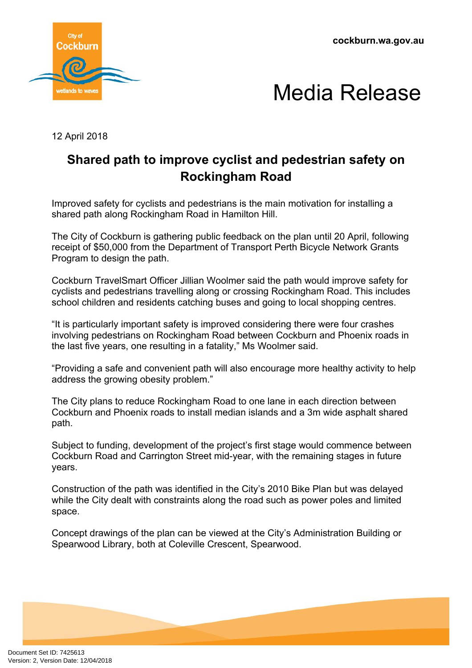**cockburn.wa.gov.au**





12 April 2018

## **Shared path to improve cyclist and pedestrian safety on Rockingham Road**

Improved safety for cyclists and pedestrians is the main motivation for installing a shared path along Rockingham Road in Hamilton Hill.

The City of Cockburn is gathering public feedback on the plan until 20 April, following receipt of \$50,000 from the Department of Transport Perth Bicycle Network Grants Program to design the path.

Cockburn TravelSmart Officer Jillian Woolmer said the path would improve safety for cyclists and pedestrians travelling along or crossing Rockingham Road. This includes school children and residents catching buses and going to local shopping centres.

"It is particularly important safety is improved considering there were four crashes involving pedestrians on Rockingham Road between Cockburn and Phoenix roads in the last five years, one resulting in a fatality," Ms Woolmer said.

"Providing a safe and convenient path will also encourage more healthy activity to help address the growing obesity problem."

The City plans to reduce Rockingham Road to one lane in each direction between Cockburn and Phoenix roads to install median islands and a 3m wide asphalt shared path.

Subject to funding, development of the project's first stage would commence between Cockburn Road and Carrington Street mid-year, with the remaining stages in future years.

Construction of the path was identified in the City's 2010 Bike Plan but was delayed while the City dealt with constraints along the road such as power poles and limited space.

Concept drawings of the plan can be viewed at the City's Administration Building or Spearwood Library, both at Coleville Crescent, Spearwood.